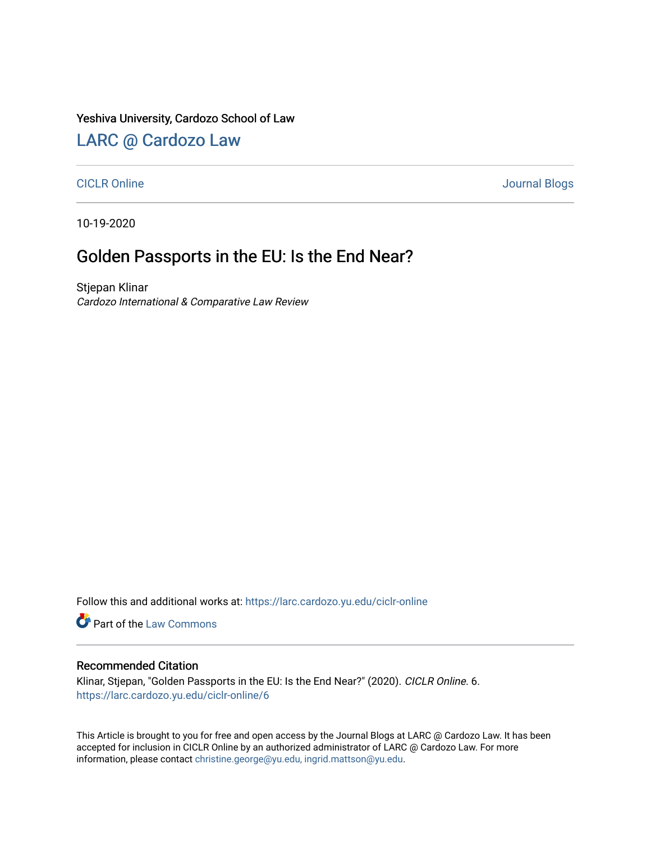### Yeshiva University, Cardozo School of Law

## [LARC @ Cardozo Law](https://larc.cardozo.yu.edu/)

### [CICLR Online](https://larc.cardozo.yu.edu/ciclr-online) Journal Blogs

10-19-2020

## Golden Passports in the EU: Is the End Near?

Stjepan Klinar Cardozo International & Comparative Law Review

Follow this and additional works at: [https://larc.cardozo.yu.edu/ciclr-online](https://larc.cardozo.yu.edu/ciclr-online?utm_source=larc.cardozo.yu.edu%2Fciclr-online%2F6&utm_medium=PDF&utm_campaign=PDFCoverPages) 

Part of the [Law Commons](http://network.bepress.com/hgg/discipline/578?utm_source=larc.cardozo.yu.edu%2Fciclr-online%2F6&utm_medium=PDF&utm_campaign=PDFCoverPages)

#### Recommended Citation

Klinar, Stjepan, "Golden Passports in the EU: Is the End Near?" (2020). CICLR Online. 6. [https://larc.cardozo.yu.edu/ciclr-online/6](https://larc.cardozo.yu.edu/ciclr-online/6?utm_source=larc.cardozo.yu.edu%2Fciclr-online%2F6&utm_medium=PDF&utm_campaign=PDFCoverPages)

This Article is brought to you for free and open access by the Journal Blogs at LARC @ Cardozo Law. It has been accepted for inclusion in CICLR Online by an authorized administrator of LARC @ Cardozo Law. For more information, please contact [christine.george@yu.edu, ingrid.mattson@yu.edu](mailto:christine.george@yu.edu,%20ingrid.mattson@yu.edu).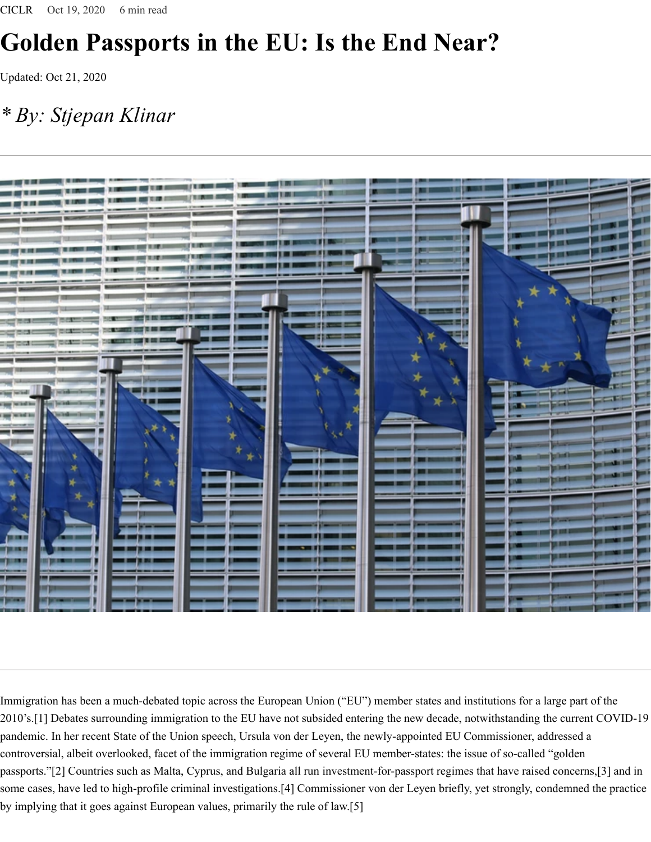# **Golden Passports in the EU: Is the End Near?**

Updated: Oct 21, 2020

## *\* By: Stjepan Klinar*



Immigration has been a much-debated topic across the European Union ("EU") member states and institutions for a large part of the 2010's.[1] Debates surrounding immigration to the EU have not subsided entering the new decade, notwithstanding the current COVID-19 pandemic. In her recent State of the Union speech, Ursula von der Leyen, the newly-appointed EU Commissioner, addressed a controversial, albeit overlooked, facet of the immigration regime of several EU member-states: the issue of so-called "golden passports."[2] Countries such as Malta, Cyprus, and Bulgaria all run investment-for-passport regimes that have raised concerns,[3] and in some cases, have led to high-profile criminal investigations.[4] Commissioner von der Leyen briefly, yet strongly, condemned the practice by implying that it goes against European values, primarily the rule of law.[5]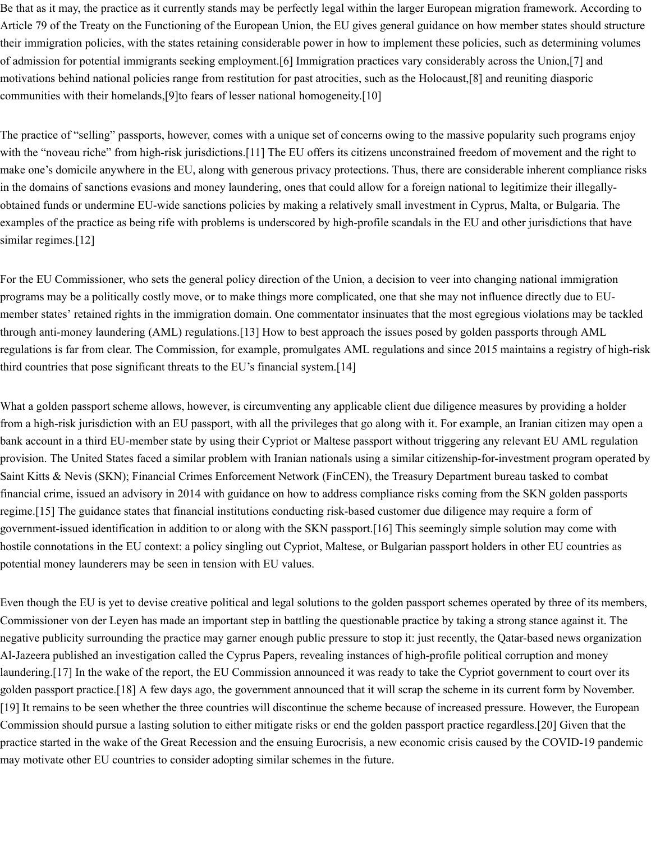Be that as it may, the practice as it currently stands may be perfectly legal within the larger European migration framework. According to Article 79 of the Treaty on the Functioning of the European Union, the EU gives general guidance on how member states should structure their immigration policies, with the states retaining considerable power in how to implement these policies, such as determining volumes of admission for potential immigrants seeking employment.[6] Immigration practices vary considerably across the Union,[7] and motivations behind national policies range from restitution for past atrocities, such as the Holocaust,[8] and reuniting diasporic communities with their homelands,[9]to fears of lesser national homogeneity.[10]

The practice of "selling" passports, however, comes with a unique set of concerns owing to the massive popularity such programs enjoy with the "noveau riche" from high-risk jurisdictions.[11] The EU offers its citizens unconstrained freedom of movement and the right to make one's domicile anywhere in the EU, along with generous privacy protections. Thus, there are considerable inherent compliance risks in the domains of sanctions evasions and money laundering, ones that could allow for a foreign national to legitimize their illegallyobtained funds or undermine EU-wide sanctions policies by making a relatively small investment in Cyprus, Malta, or Bulgaria. The examples of the practice as being rife with problems is underscored by high-profile scandals in the EU and other jurisdictions that have similar regimes.<sup>[12]</sup>

For the EU Commissioner, who sets the general policy direction of the Union, a decision to veer into changing national immigration programs may be a politically costly move, or to make things more complicated, one that she may not influence directly due to EUmember states' retained rights in the immigration domain. One commentator insinuates that the most egregious violations may be tackled through anti-money laundering (AML) regulations.[13] How to best approach the issues posed by golden passports through AML regulations is far from clear. The Commission, for example, promulgates AML regulations and since 2015 maintains a registry of high-risk third countries that pose significant threats to the EU's financial system.[14]

What a golden passport scheme allows, however, is circumventing any applicable client due diligence measures by providing a holder from a high-risk jurisdiction with an EU passport, with all the privileges that go along with it. For example, an Iranian citizen may open a bank account in a third EU-member state by using their Cypriot or Maltese passport without triggering any relevant EU AML regulation provision. The United States faced a similar problem with Iranian nationals using a similar citizenship-for-investment program operated by Saint Kitts & Nevis (SKN); Financial Crimes Enforcement Network (FinCEN), the Treasury Department bureau tasked to combat financial crime, issued an advisory in 2014 with guidance on how to address compliance risks coming from the SKN golden passports regime.[15] The guidance states that financial institutions conducting risk-based customer due diligence may require a form of government-issued identification in addition to or along with the SKN passport.[16] This seemingly simple solution may come with hostile connotations in the EU context: a policy singling out Cypriot, Maltese, or Bulgarian passport holders in other EU countries as potential money launderers may be seen in tension with EU values.

Even though the EU is yet to devise creative political and legal solutions to the golden passport schemes operated by three of its members, Commissioner von der Leyen has made an important step in battling the questionable practice by taking a strong stance against it. The negative publicity surrounding the practice may garner enough public pressure to stop it: just recently, the Qatar-based news organization Al-Jazeera published an investigation called the Cyprus Papers, revealing instances of high-profile political corruption and money laundering.[17] In the wake of the report, the EU Commission announced it was ready to take the Cypriot government to court over its golden passport practice.[18] A few days ago, the government announced that it will scrap the scheme in its current form by November. [19] It remains to be seen whether the three countries will discontinue the scheme because of increased pressure. However, the European Commission should pursue a lasting solution to either mitigate risks or end the golden passport practice regardless.[20] Given that the practice started in the wake of the Great Recession and the ensuing Eurocrisis, a new economic crisis caused by the COVID-19 pandemic may motivate other EU countries to consider adopting similar schemes in the future.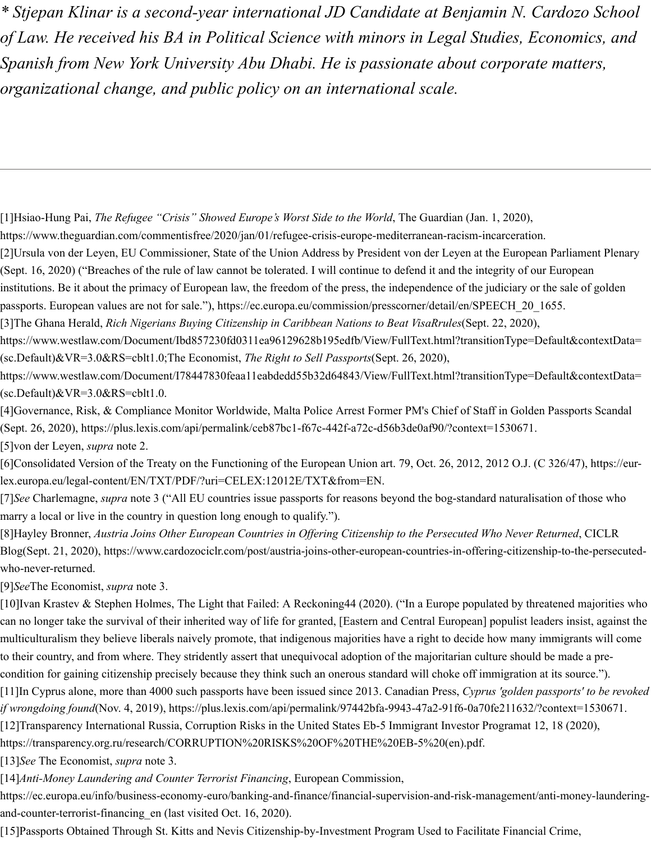*\* Stjepan Klinar is a second-year international JD Candidate at Benjamin N. Cardozo School of Law. He received his BA in Political Science with minors in Legal Studies, Economics, and Spanish from New York University Abu Dhabi. He is passionate about corporate matters, organizational change, and public policy on an international scale.*

[1]Hsiao-Hung Pai, *The Refugee "Crisis" Showed Europe's Worst Side to the World*, The Guardian (Jan. 1, 2020),

https://www.theguardian.com/commentisfree/2020/jan/01/refugee-crisis-europe-mediterranean-racism-incarceration.

[2]Ursula von der Leyen, EU Commissioner, State of the Union Address by President von der Leyen at the European Parliament Plenary (Sept. 16, 2020) ("Breaches of the rule of law cannot be tolerated. I will continue to defend it and the integrity of our European

institutions. Be it about the primacy of European law, the freedom of the press, the independence of the judiciary or the sale of golden

passports. European values are not for sale."), https://ec.europa.eu/commission/presscorner/detail/en/SPEECH\_20\_1655.

[3]The Ghana Herald, *Rich Nigerians Buying Citizenship in Caribbean Nations to Beat VisaRrules*(Sept. 22, 2020),

https://www.westlaw.com/Document/Ibd857230fd0311ea96129628b195edfb/View/FullText.html?transitionType=Default&contextData= (sc.Default)&VR=3.0&RS=cblt1.0;The Economist, *The Right to Sell Passports*(Sept. 26, 2020),

https://www.westlaw.com/Document/I78447830feaa11eabdedd55b32d64843/View/FullText.html?transitionType=Default&contextData=  $(\text{sc.Default})$ &VR=3.0&RS=cblt1.0.

[4]Governance, Risk, & Compliance Monitor Worldwide, Malta Police Arrest Former PM's Chief of Staff in Golden Passports Scandal (Sept. 26, 2020), https://plus.lexis.com/api/permalink/ceb87bc1-f67c-442f-a72c-d56b3de0af90/?context=1530671.

[5]von der Leyen, *supra* note 2.

[6]Consolidated Version of the Treaty on the Functioning of the European Union art. 79, Oct. 26, 2012, 2012 O.J. (C 326/47), https://eurlex.europa.eu/legal-content/EN/TXT/PDF/?uri=CELEX:12012E/TXT&from=EN.

[7]*See* Charlemagne, *supra* note 3 ("All EU countries issue passports for reasons beyond the bog-standard naturalisation of those who marry a local or live in the country in question long enough to qualify.").

[8] Hayley Bronner, Austria Joins Other European Countries in Offering Citizenship to the Persecuted Who Never Returned, CICLR Blog(Sept. 21, 2020), https://www.cardozociclr.com/post/austria-joins-other-european-countries-in-offering-citizenship-to-the-persecutedwho-never-returned.

[9]*See*The Economist, *supra* note 3.

[10]Ivan Krastev & Stephen Holmes, The Light that Failed: A Reckoning44 (2020). ("In a Europe populated by threatened majorities who can no longer take the survival of their inherited way of life for granted, [Eastern and Central European] populist leaders insist, against the multiculturalism they believe liberals naively promote, that indigenous majorities have a right to decide how many immigrants will come to their country, and from where. They stridently assert that unequivocal adoption of the majoritarian culture should be made a precondition for gaining citizenship precisely because they think such an onerous standard will choke off immigration at its source.").

[11]In Cyprus alone, more than 4000 such passports have been issued since 2013. Canadian Press, *Cyprus 'golden passports' to be revoked if wrongdoing found*(Nov. 4, 2019), https://plus.lexis.com/api/permalink/97442bfa-9943-47a2-91f6-0a70fe211632/?context=1530671.

[12]Transparency International Russia, Corruption Risks in the United States Eb-5 Immigrant Investor Programat 12, 18 (2020),

https://transparency.org.ru/research/CORRUPTION%20RISKS%20OF%20THE%20EB-5%20(en).pdf.

[13]*See* The Economist, *supra* note 3.

[14]*Anti-Money Laundering and Counter Terrorist Financing*, European Commission,

https://ec.europa.eu/info/business-economy-euro/banking-and-finance/financial-supervision-and-risk-management/anti-money-launderingand-counter-terrorist-financing\_en (last visited Oct. 16, 2020).

[15]Passports Obtained Through St. Kitts and Nevis Citizenship-by-Investment Program Used to Facilitate Financial Crime,